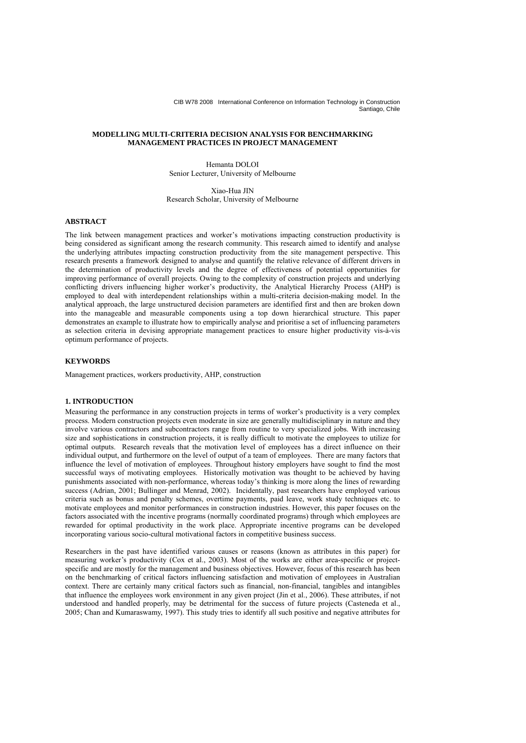# **MODELLING MULTI-CRITERIA DECISION ANALYSIS FOR BENCHMARKING MANAGEMENT PRACTICES IN PROJECT MANAGEMENT**

Hemanta DOLOI Senior Lecturer, University of Melbourne

Xiao-Hua JIN Research Scholar, University of Melbourne

# **ABSTRACT**

The link between management practices and worker's motivations impacting construction productivity is being considered as significant among the research community. This research aimed to identify and analyse the underlying attributes impacting construction productivity from the site management perspective. This research presents a framework designed to analyse and quantify the relative relevance of different drivers in the determination of productivity levels and the degree of effectiveness of potential opportunities for improving performance of overall projects. Owing to the complexity of construction projects and underlying conflicting drivers influencing higher worker's productivity, the Analytical Hierarchy Process (AHP) is employed to deal with interdependent relationships within a multi-criteria decision-making model. In the analytical approach, the large unstructured decision parameters are identified first and then are broken down into the manageable and measurable components using a top down hierarchical structure. This paper demonstrates an example to illustrate how to empirically analyse and prioritise a set of influencing parameters as selection criteria in devising appropriate management practices to ensure higher productivity vis-à-vis optimum performance of projects.

## **KEYWORDS**

Management practices, workers productivity, AHP, construction

# **1. INTRODUCTION**

Measuring the performance in any construction projects in terms of worker's productivity is a very complex process. Modern construction projects even moderate in size are generally multidisciplinary in nature and they involve various contractors and subcontractors range from routine to very specialized jobs. With increasing size and sophistications in construction projects, it is really difficult to motivate the employees to utilize for optimal outputs. Research reveals that the motivation level of employees has a direct influence on their individual output, and furthermore on the level of output of a team of employees. There are many factors that influence the level of motivation of employees. Throughout history employers have sought to find the most successful ways of motivating employees. Historically motivation was thought to be achieved by having punishments associated with non-performance, whereas today's thinking is more along the lines of rewarding success (Adrian, 2001; Bullinger and Menrad, 2002). Incidentally, past researchers have employed various criteria such as bonus and penalty schemes, overtime payments, paid leave, work study techniques etc. to motivate employees and monitor performances in construction industries. However, this paper focuses on the factors associated with the incentive programs (normally coordinated programs) through which employees are rewarded for optimal productivity in the work place. Appropriate incentive programs can be developed incorporating various socio-cultural motivational factors in competitive business success.

Researchers in the past have identified various causes or reasons (known as attributes in this paper) for measuring worker's productivity (Cox et al., 2003). Most of the works are either area-specific or projectspecific and are mostly for the management and business objectives. However, focus of this research has been on the benchmarking of critical factors influencing satisfaction and motivation of employees in Australian context. There are certainly many critical factors such as financial, non-financial, tangibles and intangibles that influence the employees work environment in any given project (Jin et al., 2006). These attributes, if not understood and handled properly, may be detrimental for the success of future projects (Casteneda et al., 2005; Chan and Kumaraswamy, 1997). This study tries to identify all such positive and negative attributes for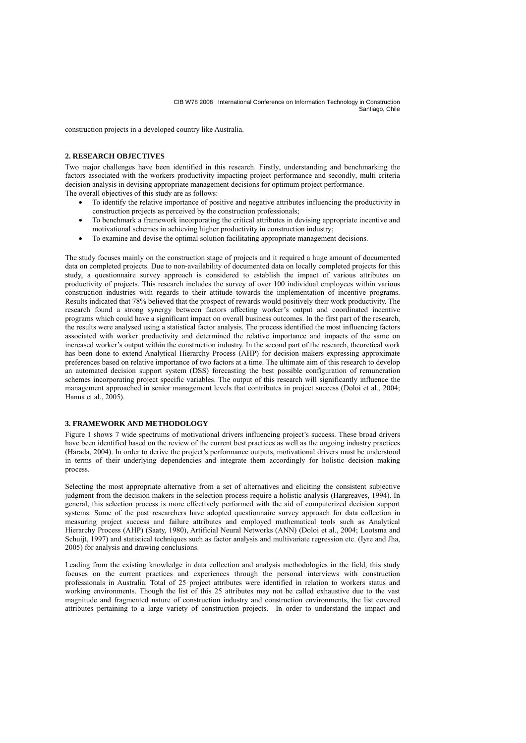construction projects in a developed country like Australia.

## **2. RESEARCH OBJECTIVES**

Two major challenges have been identified in this research. Firstly, understanding and benchmarking the factors associated with the workers productivity impacting project performance and secondly, multi criteria decision analysis in devising appropriate management decisions for optimum project performance. The overall objectives of this study are as follows:

- - To identify the relative importance of positive and negative attributes influencing the productivity in construction projects as perceived by the construction professionals;
	- To benchmark a framework incorporating the critical attributes in devising appropriate incentive and motivational schemes in achieving higher productivity in construction industry;
	- To examine and devise the optimal solution facilitating appropriate management decisions.

The study focuses mainly on the construction stage of projects and it required a huge amount of documented data on completed projects. Due to non-availability of documented data on locally completed projects for this study, a questionnaire survey approach is considered to establish the impact of various attributes on productivity of projects. This research includes the survey of over 100 individual employees within various construction industries with regards to their attitude towards the implementation of incentive programs. Results indicated that 78% believed that the prospect of rewards would positively their work productivity. The research found a strong synergy between factors affecting worker's output and coordinated incentive programs which could have a significant impact on overall business outcomes. In the first part of the research, the results were analysed using a statistical factor analysis. The process identified the most influencing factors associated with worker productivity and determined the relative importance and impacts of the same on increased worker's output within the construction industry. In the second part of the research, theoretical work has been done to extend Analytical Hierarchy Process (AHP) for decision makers expressing approximate preferences based on relative importance of two factors at a time. The ultimate aim of this research to develop an automated decision support system (DSS) forecasting the best possible configuration of remuneration schemes incorporating project specific variables. The output of this research will significantly influence the management approached in senior management levels that contributes in project success (Doloi et al., 2004; Hanna et al., 2005).

### **3. FRAMEWORK AND METHODOLOGY**

Figure 1 shows 7 wide spectrums of motivational drivers influencing project's success. These broad drivers have been identified based on the review of the current best practices as well as the ongoing industry practices (Harada, 2004). In order to derive the project's performance outputs, motivational drivers must be understood in terms of their underlying dependencies and integrate them accordingly for holistic decision making process.

Selecting the most appropriate alternative from a set of alternatives and eliciting the consistent subjective judgment from the decision makers in the selection process require a holistic analysis (Hargreaves, 1994). In general, this selection process is more effectively performed with the aid of computerized decision support systems. Some of the past researchers have adopted questionnaire survey approach for data collection in measuring project success and failure attributes and employed mathematical tools such as Analytical Hierarchy Process (AHP) (Saaty, 1980), Artificial Neural Networks (ANN) (Doloi et al., 2004; Lootsma and Schuijt, 1997) and statistical techniques such as factor analysis and multivariate regression etc. (Iyre and Jha, 2005) for analysis and drawing conclusions.

Leading from the existing knowledge in data collection and analysis methodologies in the field, this study focuses on the current practices and experiences through the personal interviews with construction professionals in Australia. Total of 25 project attributes were identified in relation to workers status and working environments. Though the list of this 25 attributes may not be called exhaustive due to the vast magnitude and fragmented nature of construction industry and construction environments, the list covered attributes pertaining to a large variety of construction projects. In order to understand the impact and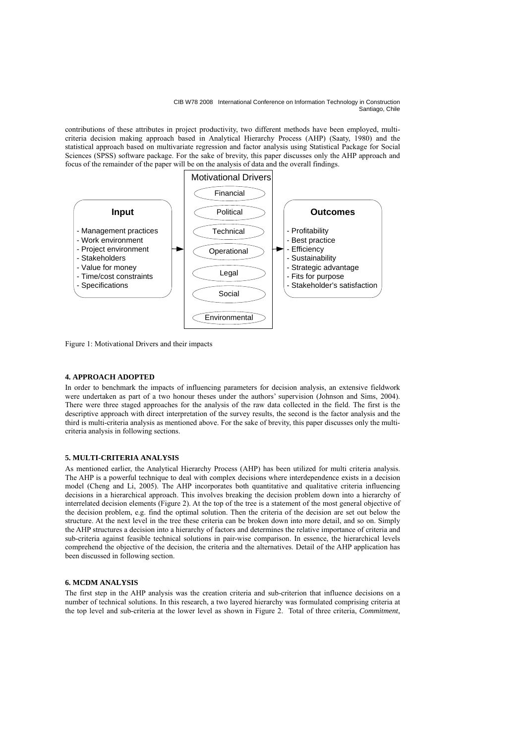contributions of these attributes in project productivity, two different methods have been employed, multicriteria decision making approach based in Analytical Hierarchy Process (AHP) (Saaty, 1980) and the statistical approach based on multivariate regression and factor analysis using Statistical Package for Social Sciences (SPSS) software package. For the sake of brevity, this paper discusses only the AHP approach and focus of the remainder of the paper will be on the analysis of data and the overall findings.



Figure 1: Motivational Drivers and their impacts

### **4. APPROACH ADOPTED**

In order to benchmark the impacts of influencing parameters for decision analysis, an extensive fieldwork were undertaken as part of a two honour theses under the authors' supervision (Johnson and Sims, 2004). There were three staged approaches for the analysis of the raw data collected in the field. The first is the descriptive approach with direct interpretation of the survey results, the second is the factor analysis and the third is multi-criteria analysis as mentioned above. For the sake of brevity, this paper discusses only the multicriteria analysis in following sections.

# **5. MULTI-CRITERIA ANALYSIS**

As mentioned earlier, the Analytical Hierarchy Process (AHP) has been utilized for multi criteria analysis. The AHP is a powerful technique to deal with complex decisions where interdependence exists in a decision model (Cheng and Li, 2005). The AHP incorporates both quantitative and qualitative criteria influencing decisions in a hierarchical approach. This involves breaking the decision problem down into a hierarchy of interrelated decision elements (Figure 2). At the top of the tree is a statement of the most general objective of the decision problem, e.g. find the optimal solution. Then the criteria of the decision are set out below the structure. At the next level in the tree these criteria can be broken down into more detail, and so on. Simply the AHP structures a decision into a hierarchy of factors and determines the relative importance of criteria and sub-criteria against feasible technical solutions in pair-wise comparison. In essence, the hierarchical levels comprehend the objective of the decision, the criteria and the alternatives. Detail of the AHP application has been discussed in following section.

### **6. MCDM ANALYSIS**

The first step in the AHP analysis was the creation criteria and sub-criterion that influence decisions on a number of technical solutions. In this research, a two layered hierarchy was formulated comprising criteria at the top level and sub-criteria at the lower level as shown in Figure 2. Total of three criteria, *Commitment*,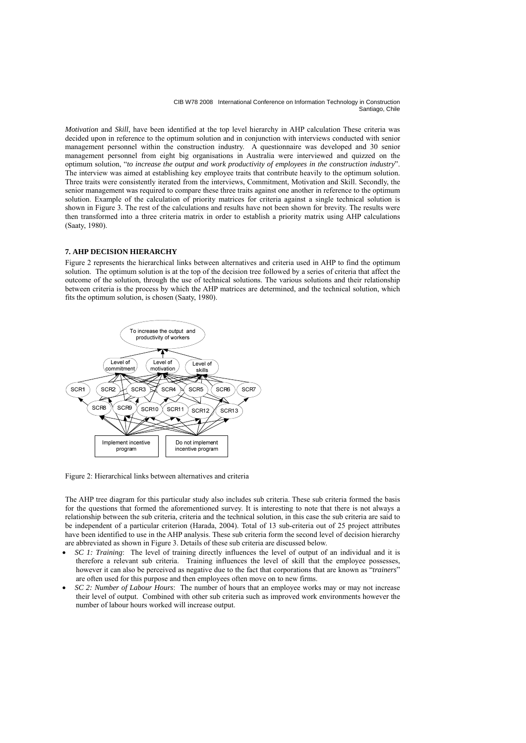*Motivation* and *Skill*, have been identified at the top level hierarchy in AHP calculation These criteria was decided upon in reference to the optimum solution and in conjunction with interviews conducted with senior management personnel within the construction industry. A questionnaire was developed and 30 senior management personnel from eight big organisations in Australia were interviewed and quizzed on the optimum solution, "*to increase the output and work productivity of employees in the construction industry*". The interview was aimed at establishing key employee traits that contribute heavily to the optimum solution. Three traits were consistently iterated from the interviews, Commitment, Motivation and Skill. Secondly, the senior management was required to compare these three traits against one another in reference to the optimum solution. Example of the calculation of priority matrices for criteria against a single technical solution is shown in Figure 3. The rest of the calculations and results have not been shown for brevity. The results were then transformed into a three criteria matrix in order to establish a priority matrix using AHP calculations (Saaty, 1980).

# **7. AHP DECISION HIERARCHY**

Figure 2 represents the hierarchical links between alternatives and criteria used in AHP to find the optimum solution. The optimum solution is at the top of the decision tree followed by a series of criteria that affect the outcome of the solution, through the use of technical solutions. The various solutions and their relationship between criteria is the process by which the AHP matrices are determined, and the technical solution, which fits the optimum solution, is chosen (Saaty, 1980).



Figure 2: Hierarchical links between alternatives and criteria

The AHP tree diagram for this particular study also includes sub criteria. These sub criteria formed the basis for the questions that formed the aforementioned survey. It is interesting to note that there is not always a relationship between the sub criteria, criteria and the technical solution, in this case the sub criteria are said to be independent of a particular criterion (Harada, 2004). Total of 13 sub-criteria out of 25 project attributes have been identified to use in the AHP analysis. These sub criteria form the second level of decision hierarchy are abbreviated as shown in Figure 3. Details of these sub criteria are discussed below.

- *SC 1: Training*: The level of training directly influences the level of output of an individual and it is therefore a relevant sub criteria. Training influences the level of skill that the employee possesses, however it can also be perceived as negative due to the fact that corporations that are known as "*trainers*" are often used for this purpose and then employees often move on to new firms.
- *SC 2: Number of Labour Hours*: The number of hours that an employee works may or may not increase their level of output. Combined with other sub criteria such as improved work environments however the number of labour hours worked will increase output.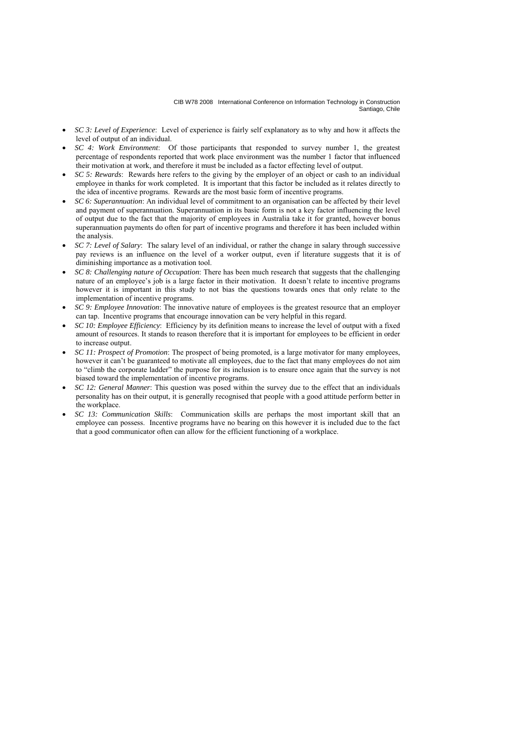- *SC 3: Level of Experience*: Level of experience is fairly self explanatory as to why and how it affects the level of output of an individual.
- *SC 4: Work Environment*: Of those participants that responded to survey number 1, the greatest percentage of respondents reported that work place environment was the number 1 factor that influenced their motivation at work, and therefore it must be included as a factor effecting level of output.
- *SC 5: Rewards*: Rewards here refers to the giving by the employer of an object or cash to an individual employee in thanks for work completed. It is important that this factor be included as it relates directly to the idea of incentive programs. Rewards are the most basic form of incentive programs.
- *SC 6: Superannuation*: An individual level of commitment to an organisation can be affected by their level and payment of superannuation. Superannuation in its basic form is not a key factor influencing the level of output due to the fact that the majority of employees in Australia take it for granted, however bonus superannuation payments do often for part of incentive programs and therefore it has been included within the analysis.
- *SC 7: Level of Salary*: The salary level of an individual, or rather the change in salary through successive pay reviews is an influence on the level of a worker output, even if literature suggests that it is of diminishing importance as a motivation tool.
- *SC 8: Challenging nature of Occupation*: There has been much research that suggests that the challenging nature of an employee's job is a large factor in their motivation. It doesn't relate to incentive programs however it is important in this study to not bias the questions towards ones that only relate to the implementation of incentive programs.
- *SC 9: Employee Innovation*: The innovative nature of employees is the greatest resource that an employer can tap. Incentive programs that encourage innovation can be very helpful in this regard.
- *SC 10: Employee Efficiency*: Efficiency by its definition means to increase the level of output with a fixed amount of resources. It stands to reason therefore that it is important for employees to be efficient in order to increase output.
- *SC 11: Prospect of Promotion*: The prospect of being promoted, is a large motivator for many employees, however it can't be guaranteed to motivate all employees, due to the fact that many employees do not aim to "climb the corporate ladder" the purpose for its inclusion is to ensure once again that the survey is not biased toward the implementation of incentive programs.
- *SC 12: General Manner*: This question was posed within the survey due to the effect that an individuals personality has on their output, it is generally recognised that people with a good attitude perform better in the workplace.
- *SC 13: Communication Skills*: Communication skills are perhaps the most important skill that an employee can possess. Incentive programs have no bearing on this however it is included due to the fact that a good communicator often can allow for the efficient functioning of a workplace.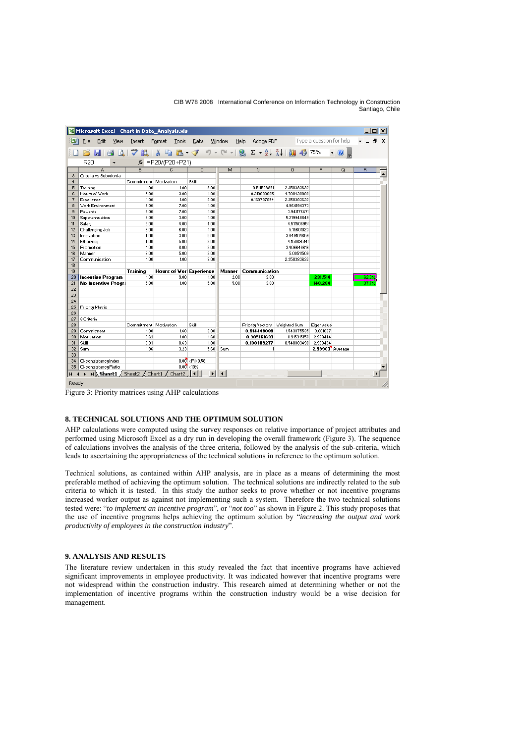| Edit<br>File                                         | View<br>Insert                                                                                                                                                                                                                                                                                                                                                   | Format<br>Tools                 | Data                    | Window           | Adobe PDF<br>Help               |             | Type a question for help |             |       | Ð |
|------------------------------------------------------|------------------------------------------------------------------------------------------------------------------------------------------------------------------------------------------------------------------------------------------------------------------------------------------------------------------------------------------------------------------|---------------------------------|-------------------------|------------------|---------------------------------|-------------|--------------------------|-------------|-------|---|
| 8                                                    | $\begin{array}{l} \hbox{H @A }\\ \hbox{H @B }\\ \hbox{H @C \\ \hbox{H @C \\ \hbox{H @C \\ \hbox{H @C \\ \hbox{H @C \\ \hbox{H @C \\ \hbox{H @C \\ \hbox{H @C \\ \hbox{H @C \\ \hbox{H @C \\ \hbox{H @C \\ \hbox{H @C \\ \hbox{H @C \\ \hbox{H @C \\ \hbox{H @C \\ \hbox{H @C \\ \hbox{H @C \\ \hbox{H @C \\ \hbox{H @C \\ \hbox{H @C \\ \hbox{H @C \\ \hbox{H @$ |                                 |                         |                  |                                 |             |                          | $\bullet$ 0 |       |   |
| R20                                                  |                                                                                                                                                                                                                                                                                                                                                                  | $f_{\star}$ = P20/(P20+P21)     |                         |                  |                                 |             |                          |             |       |   |
| A                                                    | B                                                                                                                                                                                                                                                                                                                                                                | C                               | D                       | м                | N                               | $\Omega$    | P                        | Q           | R     |   |
| Criteria vs Subcriteria<br>3<br>$\ddot{\phantom{1}}$ |                                                                                                                                                                                                                                                                                                                                                                  |                                 |                         |                  |                                 |             |                          |             |       |   |
| Commitment Motivation                                |                                                                                                                                                                                                                                                                                                                                                                  |                                 | Skill                   |                  |                                 |             |                          |             |       |   |
| 5<br>Training                                        |                                                                                                                                                                                                                                                                                                                                                                  | 1.00<br>1.00                    | 9.00                    |                  | 0.511508951                     | 2.350383632 |                          |             |       |   |
| Hours of Work<br>g.                                  | 7.00                                                                                                                                                                                                                                                                                                                                                             | 3.00                            | 1.00                    |                  | 0.319693095                     | 4.708439898 |                          |             |       |   |
| $\overline{7}$<br>Experience                         |                                                                                                                                                                                                                                                                                                                                                                  | 1.00<br>1.00                    | 9.00                    |                  | 0.168797954                     | 2.350383632 |                          |             |       |   |
| s.<br>5.00<br><b>Work Environment</b>                |                                                                                                                                                                                                                                                                                                                                                                  | 7.00                            | 1.00                    |                  |                                 | 4.964194373 |                          |             |       |   |
| $\mathbf{S}$<br><b>Rewards</b><br>3.00               |                                                                                                                                                                                                                                                                                                                                                                  | 7.00<br>3.00                    | 1.00                    |                  |                                 | 3.941176471 |                          |             |       |   |
| 10 <sub>10</sub><br>Superannuation                   | 8.00                                                                                                                                                                                                                                                                                                                                                             |                                 | 1.00                    |                  |                                 | 5.219948849 |                          |             |       |   |
| 11<br>Salary                                         |                                                                                                                                                                                                                                                                                                                                                                  | 5.00<br>4.00                    | 4.00                    |                  |                                 | 4.511508951 |                          |             |       |   |
| 12<br>Challenging Job                                | 6.00                                                                                                                                                                                                                                                                                                                                                             | 6.00                            | 1.00                    |                  |                                 | 5.15601023  |                          |             |       |   |
| 13<br>Innovation                                     | 4.00                                                                                                                                                                                                                                                                                                                                                             | 3.00                            | 5.00                    |                  |                                 | 3.849104859 |                          |             |       |   |
| 14<br>Efficiency                                     | 4.00                                                                                                                                                                                                                                                                                                                                                             | 5.00                            | 3.00                    |                  |                                 | 4.150895141 |                          |             |       |   |
| 15<br>Promotion                                      | 1.00                                                                                                                                                                                                                                                                                                                                                             | 8.00                            | 2.00                    |                  |                                 | 3.406649616 |                          |             |       |   |
| 16<br>Manner                                         | 6.00                                                                                                                                                                                                                                                                                                                                                             | 5.00                            | 2.00                    |                  |                                 | 5.00511509  |                          |             |       |   |
| 17<br>Communication                                  | 1.00                                                                                                                                                                                                                                                                                                                                                             | 1.00                            | 9.00                    |                  |                                 | 2.350383632 |                          |             |       |   |
| 18 <sup>2</sup>                                      |                                                                                                                                                                                                                                                                                                                                                                  |                                 |                         |                  |                                 |             |                          |             |       |   |
| 19                                                   | <b>Training</b>                                                                                                                                                                                                                                                                                                                                                  | <b>Hours of Vort Experience</b> |                         | <b>Manner</b>    | <b>Communication</b>            |             |                          |             |       |   |
| 20 <sub>2</sub><br><b>Incentive Program</b>          | 1.00                                                                                                                                                                                                                                                                                                                                                             | 9.00                            | 1.00                    | 2.00             | 3.00                            |             | 231.514                  |             | 62.3. |   |
| 21<br><b>No Incentive Progra</b>                     | 5.00                                                                                                                                                                                                                                                                                                                                                             | 1.00                            | 5.00                    | 5.00             | 3.00                            |             | 140.284                  |             | 37.7% |   |
| 22                                                   |                                                                                                                                                                                                                                                                                                                                                                  |                                 |                         |                  |                                 |             |                          |             |       |   |
| 23                                                   |                                                                                                                                                                                                                                                                                                                                                                  |                                 |                         |                  |                                 |             |                          |             |       |   |
| 24                                                   |                                                                                                                                                                                                                                                                                                                                                                  |                                 |                         |                  |                                 |             |                          |             |       |   |
| 25<br><b>Priority Matrix</b><br>26                   |                                                                                                                                                                                                                                                                                                                                                                  |                                 |                         |                  |                                 |             |                          |             |       |   |
| 27<br>3 Criteria                                     |                                                                                                                                                                                                                                                                                                                                                                  |                                 |                         |                  |                                 |             |                          |             |       |   |
| 28                                                   |                                                                                                                                                                                                                                                                                                                                                                  | Commitment   Motivation         | Skill                   |                  | Priority Vectors   Weighted Sum |             | Eigenvalue               |             |       |   |
| 29<br>Commitment                                     | 1.00                                                                                                                                                                                                                                                                                                                                                             | 1.60                            | 3.00                    |                  | 0.514449089                     | 1,543875535 | 3.001027                 |             |       |   |
| 30<br>Motivation                                     | 0.63                                                                                                                                                                                                                                                                                                                                                             | 1.00                            | 1.60                    |                  | 0.305161633                     | 0.915315158 | 2.999444                 |             |       |   |
| 31<br>Skill                                          | 0.33                                                                                                                                                                                                                                                                                                                                                             | 0.63                            | 1.00                    |                  | 0.180389277                     | 0.540883498 | 2.998424                 |             |       |   |
| 32<br>Sum                                            | 1.96                                                                                                                                                                                                                                                                                                                                                             | 3.23                            | 5.60                    | Sum              | 1                               |             | 2.99963 Average          |             |       |   |
| 33                                                   |                                                                                                                                                                                                                                                                                                                                                                  |                                 |                         |                  |                                 |             |                          |             |       |   |
| 34<br>CI-consistancy Index                           |                                                                                                                                                                                                                                                                                                                                                                  |                                 | $0.00$ < RI= $0.58$     |                  |                                 |             |                          |             |       |   |
| CI-consistancy Ratio<br>35                           |                                                                                                                                                                                                                                                                                                                                                                  |                                 | $0.00 \times 10 \times$ |                  |                                 |             |                          |             |       |   |
| н<br>$\blacktriangleleft$                            | $\blacktriangleright$ Sheet1 / Sheet2 / Chart1 / Chart2   1                                                                                                                                                                                                                                                                                                      |                                 | $\mathbf{F}$            | $\left  \right $ |                                 |             |                          |             |       |   |

Figure 3: Priority matrices using AHP calculations

# **8. TECHNICAL SOLUTIONS AND THE OPTIMUM SOLUTION**

AHP calculations were computed using the survey responses on relative importance of project attributes and performed using Microsoft Excel as a dry run in developing the overall framework (Figure 3). The sequence of calculations involves the analysis of the three criteria, followed by the analysis of the sub-criteria, which leads to ascertaining the appropriateness of the technical solutions in reference to the optimum solution.

Technical solutions, as contained within AHP analysis, are in place as a means of determining the most preferable method of achieving the optimum solution. The technical solutions are indirectly related to the sub criteria to which it is tested. In this study the author seeks to prove whether or not incentive programs increased worker output as against not implementing such a system. Therefore the two technical solutions tested were: "*to implement an incentive program*", or "*not too*" as shown in Figure 2. This study proposes that the use of incentive programs helps achieving the optimum solution by "*increasing the output and work productivity of employees in the construction industry*".

# **9. ANALYSIS AND RESULTS**

The literature review undertaken in this study revealed the fact that incentive programs have achieved significant improvements in employee productivity. It was indicated however that incentive programs were not widespread within the construction industry. This research aimed at determining whether or not the implementation of incentive programs within the construction industry would be a wise decision for management.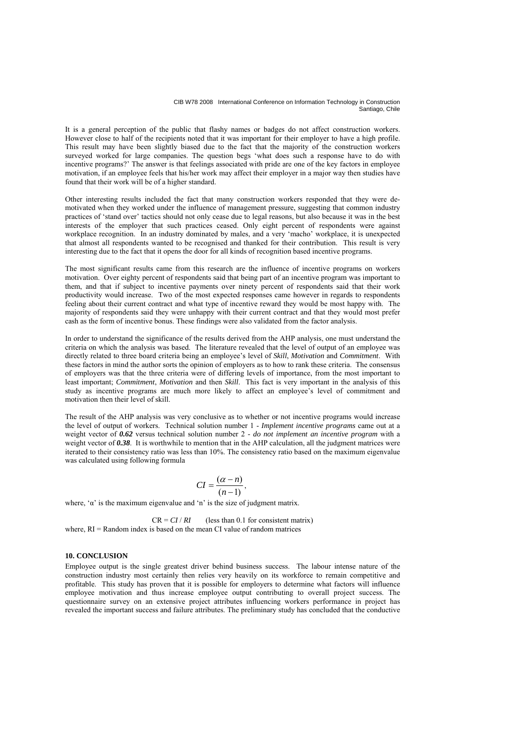It is a general perception of the public that flashy names or badges do not affect construction workers. However close to half of the recipients noted that it was important for their employer to have a high profile. This result may have been slightly biased due to the fact that the majority of the construction workers surveyed worked for large companies. The question begs 'what does such a response have to do with incentive programs?' The answer is that feelings associated with pride are one of the key factors in employee motivation, if an employee feels that his/her work may affect their employer in a major way then studies have found that their work will be of a higher standard.

Other interesting results included the fact that many construction workers responded that they were demotivated when they worked under the influence of management pressure, suggesting that common industry practices of 'stand over' tactics should not only cease due to legal reasons, but also because it was in the best interests of the employer that such practices ceased. Only eight percent of respondents were against workplace recognition. In an industry dominated by males, and a very 'macho' workplace, it is unexpected that almost all respondents wanted to be recognised and thanked for their contribution. This result is very interesting due to the fact that it opens the door for all kinds of recognition based incentive programs.

The most significant results came from this research are the influence of incentive programs on workers motivation. Over eighty percent of respondents said that being part of an incentive program was important to them, and that if subject to incentive payments over ninety percent of respondents said that their work productivity would increase. Two of the most expected responses came however in regards to respondents feeling about their current contract and what type of incentive reward they would be most happy with. The majority of respondents said they were unhappy with their current contract and that they would most prefer cash as the form of incentive bonus. These findings were also validated from the factor analysis.

In order to understand the significance of the results derived from the AHP analysis, one must understand the criteria on which the analysis was based. The literature revealed that the level of output of an employee was directly related to three board criteria being an employee's level of *Skill*, *Motivation* and *Commitment*. With these factors in mind the author sorts the opinion of employers as to how to rank these criteria. The consensus of employers was that the three criteria were of differing levels of importance, from the most important to least important; *Commitment*, *Motivation* and then *Skill*. This fact is very important in the analysis of this study as incentive programs are much more likely to affect an employee's level of commitment and motivation then their level of skill.

The result of the AHP analysis was very conclusive as to whether or not incentive programs would increase the level of output of workers. Technical solution number 1 - *Implement incentive programs* came out at a weight vector of *0.62* versus technical solution number 2 - *do not implement an incentive program* with a weight vector of **0.38**. It is worthwhile to mention that in the AHP calculation, all the judgment matrices were iterated to their consistency ratio was less than 10%. The consistency ratio based on the maximum eigenvalue was calculated using following formula

$$
CI = \frac{(\alpha - n)}{(n-1)},
$$

where,  $\alpha$  is the maximum eigenvalue and 'n' is the size of judgment matrix.

 $CR = CI / RI$  (less than 0.1 for consistent matrix) where,  $RI =$  Random index is based on the mean CI value of random matrices

# **10. CONCLUSION**

Employee output is the single greatest driver behind business success. The labour intense nature of the construction industry most certainly then relies very heavily on its workforce to remain competitive and profitable. This study has proven that it is possible for employers to determine what factors will influence employee motivation and thus increase employee output contributing to overall project success. The questionnaire survey on an extensive project attributes influencing workers performance in project has revealed the important success and failure attributes. The preliminary study has concluded that the conductive